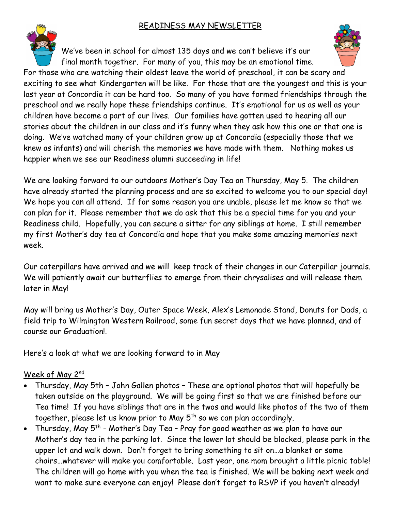### READINESS MAY NEWSLETTER

We've been in school for almost 135 days and we can't believe it's our final month together. For many of you, this may be an emotional time. For those who are watching their oldest leave the world of preschool, it can be scary and exciting to see what Kindergarten will be like. For those that are the youngest and this is your last year at Concordia it can be hard too. So many of you have formed friendships through the preschool and we really hope these friendships continue. It's emotional for us as well as your children have become a part of our lives. Our families have gotten used to hearing all our stories about the children in our class and it's funny when they ask how this one or that one is doing. We've watched many of your children grow up at Concordia (especially those that we knew as infants) and will cherish the memories we have made with them. Nothing makes us happier when we see our Readiness alumni succeeding in life!

We are looking forward to our outdoors Mother's Day Tea on Thursday, May 5. The children have already started the planning process and are so excited to welcome you to our special day! We hope you can all attend. If for some reason you are unable, please let me know so that we can plan for it. Please remember that we do ask that this be a special time for you and your Readiness child. Hopefully, you can secure a sitter for any siblings at home. I still remember my first Mother's day tea at Concordia and hope that you make some amazing memories next week.

Our caterpillars have arrived and we will keep track of their changes in our Caterpillar journals. We will patiently await our butterflies to emerge from their chrysalises and will release them later in May!

May will bring us Mother's Day, Outer Space Week, Alex's Lemonade Stand, Donuts for Dads, a field trip to Wilmington Western Railroad, some fun secret days that we have planned, and of course our Graduation!.

Here's a look at what we are looking forward to in May

### Week of May 2nd

- Thursday, May 5th John Gallen photos These are optional photos that will hopefully be taken outside on the playground. We will be going first so that we are finished before our Tea time! If you have siblings that are in the twos and would like photos of the two of them together, please let us know prior to May  $5<sup>th</sup>$  so we can plan accordingly.
- Thursday, May 5<sup>th</sup> Mother's Day Tea Pray for good weather as we plan to have our Mother's day tea in the parking lot. Since the lower lot should be blocked, please park in the upper lot and walk down. Don't forget to bring something to sit on…a blanket or some chairs…whatever will make you comfortable. Last year, one mom brought a little picnic table! The children will go home with you when the tea is finished. We will be baking next week and want to make sure everyone can enjoy! Please don't forget to RSVP if you haven't already!